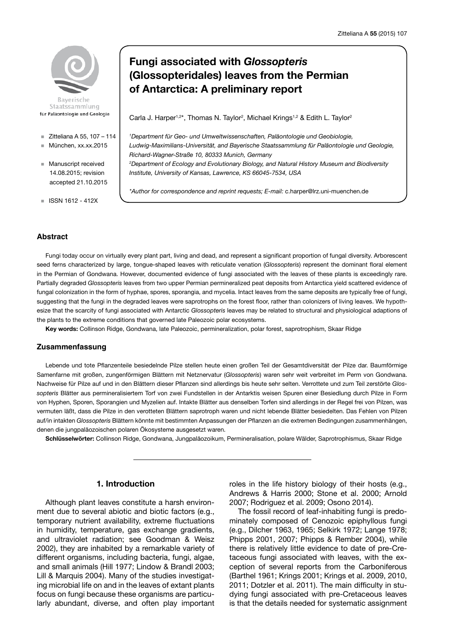

Bayerische Staatssammlung für Paläontologie und Geologie

- $\blacksquare$  Zitteliana A 55, 107 114
- München, xx.xx.2015
- **Manuscript received** 14.08.2015; revision accepted 21.10.2015
- $\blacksquare$  ISSN 1612 412X

# **Fungi associated with** *Glossopteris*  **(Glossopteridales) leaves from the Permian of Antarctica: A preliminary report**

Carla J. Harper<sup>1,2\*</sup>, Thomas N. Taylor<sup>2</sup>, Michael Krings<sup>1,2</sup> & Edith L. Taylor<sup>2</sup>

*1 Department für Geo- und Umweltwissenschaften, Paläontologie und Geobiologie, Ludwig-Maximilians-Universität, and Bayerische Staatssammlung für Paläontologie und Geologie, Richard-Wagner-Straße 10, 80333 Munich, Germany 2 Department of Ecology and Evolutionary Biology, and Natural History Museum and Biodiversity Institute, University of Kansas, Lawrence, KS 66045-7534, USA*

*\*Author for correspondence and reprint requests; E-mail:* c.harper@lrz.uni-muenchen.de

## **Abstract**

Fungi today occur on virtually every plant part, living and dead, and represent a significant proportion of fungal diversity. Arborescent seed ferns characterized by large, tongue-shaped leaves with reticulate venation (*Glossopteris*) represent the dominant floral element in the Permian of Gondwana. However, documented evidence of fungi associated with the leaves of these plants is exceedingly rare. Partially degraded *Glossopteris* leaves from two upper Permian permineralized peat deposits from Antarctica yield scattered evidence of fungal colonization in the form of hyphae, spores, sporangia, and mycelia. Intact leaves from the same deposits are typically free of fungi, suggesting that the fungi in the degraded leaves were saprotrophs on the forest floor, rather than colonizers of living leaves. We hypothesize that the scarcity of fungi associated with Antarctic *Glossopteris* leaves may be related to structural and physiological adaptions of the plants to the extreme conditions that governed late Paleozoic polar ecosystems.

**Key words:** Collinson Ridge, Gondwana, late Paleozoic, permineralization, polar forest, saprotrophism, Skaar Ridge

### **Zusammenfassung**

Lebende und tote Pflanzenteile besiedelnde Pilze stellen heute einen großen Teil der Gesamtdiversität der Pilze dar. Baumförmige Samenfarne mit großen, zungenförmigen Blättern mit Netznervatur (*Glossopteris*) waren sehr weit verbreitet im Perm von Gondwana. Nachweise für Pilze auf und in den Blättern dieser Pflanzen sind allerdings bis heute sehr selten. Verrottete und zum Teil zerstörte *Glossopteris* Blätter aus permineralisiertem Torf von zwei Fundstellen in der Antarktis weisen Spuren einer Besiedlung durch Pilze in Form von Hyphen, Sporen, Sporangien und Myzelien auf. Intakte Blätter aus denselben Torfen sind allerdings in der Regel frei von Pilzen, was vermuten läßt, dass die Pilze in den verotteten Blättern saprotroph waren und nicht lebende Blätter besiedelten. Das Fehlen von Pilzen auf/in intakten *Glossopteris* Blättern könnte mit bestimmten Anpassungen der Pflanzen an die extremen Bedingungen zusammenhängen, denen die jungpaläozoischen polaren Ökosysteme ausgesetzt waren.

**Schlüsselwörter:** Collinson Ridge, Gondwana, Jungpaläozoikum, Permineralisation, polare Wälder, Saprotrophismus, Skaar Ridge

# **1. Introduction**

Although plant leaves constitute a harsh environment due to several abiotic and biotic factors (e.g., temporary nutrient availability, extreme fluctuations in humidity, temperature, gas exchange gradients, and ultraviolet radiation; see Goodman & Weisz 2002), they are inhabited by a remarkable variety of different organisms, including bacteria, fungi, algae, and small animals (Hill 1977; Lindow & Brandl 2003; Lill & Marquis 2004). Many of the studies investigating microbial life on and in the leaves of extant plants focus on fungi because these organisms are particularly abundant, diverse, and often play important roles in the life history biology of their hosts (e.g., Andrews & Harris 2000; Stone et al. 2000; Arnold 2007; Rodriguez et al. 2009; Osono 2014).

The fossil record of leaf-inhabiting fungi is predominately composed of Cenozoic epiphyllous fungi (e.g., Dilcher 1963, 1965; Selkirk 1972; Lange 1978; Phipps 2001, 2007; Phipps & Rember 2004), while there is relatively little evidence to date of pre-Cretaceous fungi associated with leaves, with the exception of several reports from the Carboniferous (Barthel 1961; Krings 2001; Krings et al. 2009, 2010, 2011; Dotzler et al. 2011). The main difficulty in studying fungi associated with pre-Cretaceous leaves is that the details needed for systematic assignment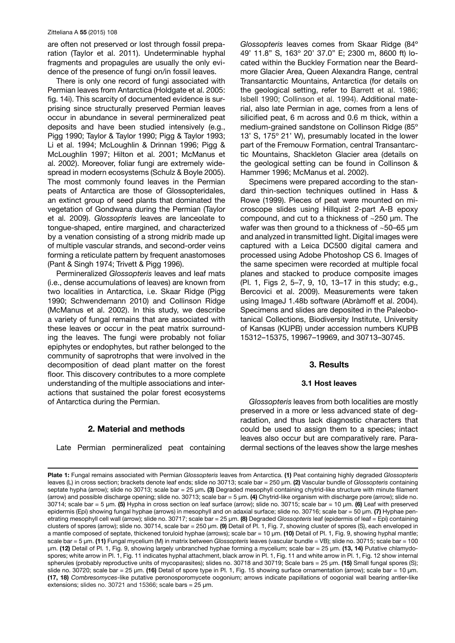#### Zitteliana A **55** (2015) 108

are often not preserved or lost through fossil preparation (Taylor et al. 2011). Undeterminable hyphal fragments and propagules are usually the only evidence of the presence of fungi on/in fossil leaves.

There is only one record of fungi associated with Permian leaves from Antarctica (Holdgate et al. 2005: fig. 14i). This scarcity of documented evidence is surprising since structurally preserved Permian leaves occur in abundance in several permineralized peat deposits and have been studied intensively (e.g., Pigg 1990; Taylor & Taylor 1990; Pigg & Taylor 1993; Li et al. 1994; McLoughlin & Drinnan 1996; Pigg & McLoughlin 1997; Hilton et al. 2001; McManus et al. 2002). Moreover, foliar fungi are extremely widespread in modern ecosystems (Schulz & Boyle 2005). The most commonly found leaves in the Permian peats of Antarctica are those of Glossopteridales, an extinct group of seed plants that dominated the vegetation of Gondwana during the Permian (Taylor et al. 2009). *Glossopteris* leaves are lanceolate to tongue-shaped, entire margined, and characterized by a venation consisting of a strong midrib made up of multiple vascular strands, and second-order veins forming a reticulate pattern by frequent anastomoses (Pant & Singh 1974; Trivett & Pigg 1996).

Permineralized *Glossopteris* leaves and leaf mats (i.e., dense accumulations of leaves) are known from two localities in Antarctica, i.e. Skaar Ridge (Pigg 1990; Schwendemann 2010) and Collinson Ridge (McManus et al. 2002). In this study, we describe a variety of fungal remains that are associated with these leaves or occur in the peat matrix surrounding the leaves. The fungi were probably not foliar epiphytes or endophytes, but rather belonged to the community of saprotrophs that were involved in the decomposition of dead plant matter on the forest floor. This discovery contributes to a more complete understanding of the multiple associations and interactions that sustained the polar forest ecosystems of Antarctica during the Permian.

## **2. Material and methods**

Late Permian permineralized peat containing

*Glossopteris* leaves comes from Skaar Ridge (84º 49' 11.8" S, 163º 20' 37.0" E; 2300 m, 8600 ft) located within the Buckley Formation near the Beardmore Glacier Area, Queen Alexandra Range, central Transantarctic Mountains, Antarctica (for details on the geological setting, refer to Barrett et al. 1986; Isbell 1990; Collinson et al. 1994). Additional material, also late Permian in age, comes from a lens of silicified peat, 6 m across and 0.6 m thick, within a medium-grained sandstone on Collinson Ridge (85º 13' S, 175º 21' W), presumably located in the lower part of the Fremouw Formation, central Transantarctic Mountains, Shackleton Glacier area (details on the geological setting can be found in Collinson & Hammer 1996; McManus et al. 2002).

Specimens were prepared according to the standard thin-section techniques outlined in Hass & Rowe (1999). Pieces of peat were mounted on microscope slides using Hillquist 2-part A-B epoxy compound, and cut to a thickness of ~250 µm. The wafer was then ground to a thickness of ~50–65  $\mu$ m and analyzed in transmitted light. Digital images were captured with a Leica DC500 digital camera and processed using Adobe Photoshop CS 6. Images of the same specimen were recorded at multiple focal planes and stacked to produce composite images (Pl. 1, Figs 2, 5–7, 9, 10, 13–17 in this study; e.g., Bercovici et al. 2009). Measurements were taken using ImageJ 1.48b software (Abràmoff et al. 2004). Specimens and slides are deposited in the Paleobotanical Collections, Biodiversity Institute, University of Kansas (KUPB) under accession numbers KUPB 15312–15375, 19967–19969, and 30713–30745.

# **3. Results**

#### **3.1 Host leaves**

*Glossopteris* leaves from both localities are mostly preserved in a more or less advanced state of degradation, and thus lack diagnostic characters that could be used to assign them to a species; intact leaves also occur but are comparatively rare. Paradermal sections of the leaves show the large meshes

**Plate 1:** Fungal remains associated with Permian *Glossopteris* leaves from Antarctica. **(1)** Peat containing highly degraded *Glossopteris* leaves (L) in cross section; brackets denote leaf ends; slide no 30713; scale bar = 250 μm. **(2)** Vascular bundle of *Glossopteris* containing septate hypha (arrow); slide no 30713; scale bar = 25 μm**. (3)** Degraded mesophyll containing chytrid-like structure with minute filament (arrow) and possible discharge opening; slide no. 30713; scale bar = 5 μm. **(4)** Chytrid-like organism with discharge pore (arrow); slide no. 30714; scale bar = 5 μm. **(5)** Hypha in cross section on leaf surface (arrow); slide no. 30715; scale bar = 10 μm. **(6)** Leaf with preserved epidermis (Epi) showing fungal hyphae (arrows) in mesophyll and on adaxial surface; slide no. 30716; scale bar = 50 μm. **(7)** Hyphae penetrating mesophyll cell wall (arrow); slide no. 30717; scale bar = 25 μm. **(8)** Degraded *Glossopteris* leaf (epidermis of leaf = Epi) containing clusters of spores (arrow); slide no. 30714, scale bar = 250 μm. **(9)** Detail of Pl. 1, Fig. 7, showing cluster of spores (S), each enveloped in a mantle composed of septate, thickened toruloid hyphae (arrows); scale bar = 10 μm. **(10)** Detail of Pl. 1, Fig. 9, showing hyphal mantle; scale bar = 5 μm. **(11)** Fungal mycelium (M) in matrix between *Glossopteris* leaves (vascular bundle = VB); slide no. 30715; scale bar = 100 μm. **(12)** Detail of Pl. 1, Fig. 9, showing largely unbranched hyphae forming a mycelium; scale bar = 25 μm. **(13, 14)** Putative chlamydospores; white arrow in Pl. 1, Fig. 11 indicates hyphal attachment, black arrow in Pl. 1, Fig. 11 and white arrow in Pl. 1, Fig. 12 show internal spherules (probably reproductive units of mycoparasites); slides no. 30718 and 30719; Scale bars = 25 μm. **(15)** Small fungal spores (S); slide no. 30720; scale bar = 25 μm. **(16)** Detail of spore type in Pl. 1, Fig. 15 showing surface ornamentation (arrow); scale bar = 10 μm. **(17, 18)** *Combresomyces*-like putative peronosporomycete oogonium; arrows indicate papillations of oogonial wall bearing antler-like extensions; slides no. 30721 and 15366; scale bars = 25 μm.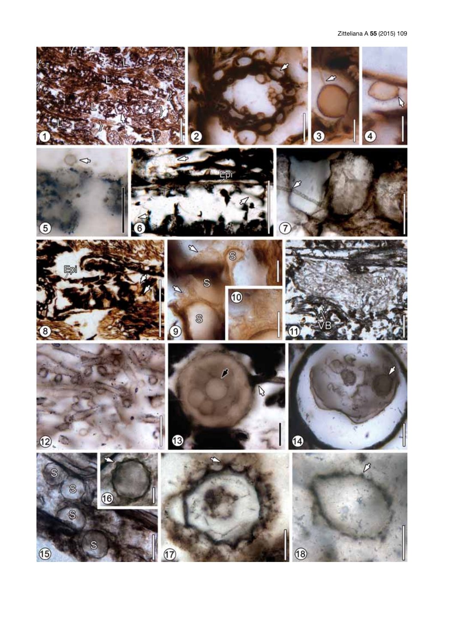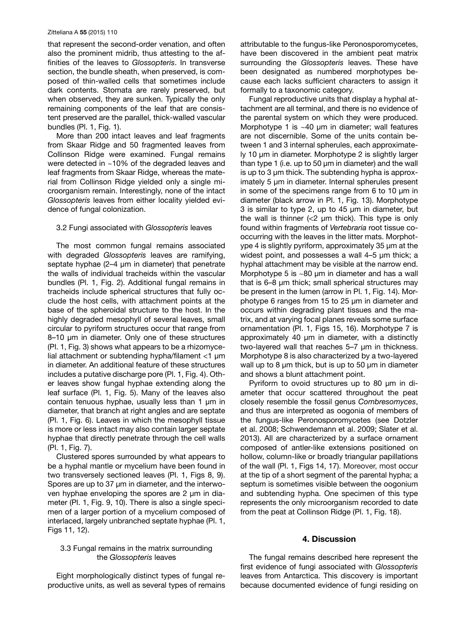#### Zitteliana A **55** (2015) 110

that represent the second-order venation, and often also the prominent midrib, thus attesting to the affinities of the leaves to *Glossopteris*. In transverse section, the bundle sheath, when preserved, is composed of thin-walled cells that sometimes include dark contents. Stomata are rarely preserved, but when observed, they are sunken. Typically the only remaining components of the leaf that are consistent preserved are the parallel, thick-walled vascular bundles (Pl. 1, Fig. 1).

More than 200 intact leaves and leaf fragments from Skaar Ridge and 50 fragmented leaves from Collinson Ridge were examined. Fungal remains were detected in ~10% of the degraded leaves and leaf fragments from Skaar Ridge, whereas the material from Collinson Ridge yielded only a single microorganism remain. Interestingly, none of the intact *Glossopteris* leaves from either locality yielded evidence of fungal colonization.

### 3.2 Fungi associated with *Glossopteris* leaves

The most common fungal remains associated with degraded *Glossopteris* leaves are ramifying, septate hyphae (2–4 µm in diameter) that penetrate the walls of individual tracheids within the vascular bundles (Pl. 1, Fig. 2). Additional fungal remains in tracheids include spherical structures that fully occlude the host cells, with attachment points at the base of the spheroidal structure to the host. In the highly degraded mesophyll of several leaves, small circular to pyriform structures occur that range from 8-10 µm in diameter. Only one of these structures (Pl. 1, Fig. 3) shows what appears to be a rhizomycelial attachment or subtending hypha/filament <1 um in diameter. An additional feature of these structures includes a putative discharge pore (Pl. 1, Fig. 4). Other leaves show fungal hyphae extending along the leaf surface (Pl. 1, Fig. 5). Many of the leaves also contain tenuous hyphae, usually less than 1 µm in diameter, that branch at right angles and are septate (Pl. 1, Fig. 6). Leaves in which the mesophyll tissue is more or less intact may also contain larger septate hyphae that directly penetrate through the cell walls (Pl. 1, Fig. 7).

Clustered spores surrounded by what appears to be a hyphal mantle or mycelium have been found in two transversely sectioned leaves (Pl. 1, Figs 8, 9). Spores are up to 37 µm in diameter, and the interwoven hyphae enveloping the spores are 2 µm in diameter (Pl. 1, Fig. 9, 10). There is also a single specimen of a larger portion of a mycelium composed of interlaced, largely unbranched septate hyphae (Pl. 1, Figs 11, 12).

## 3.3 Fungal remains in the matrix surrounding the *Glossopteris* leaves

Eight morphologically distinct types of fungal reproductive units, as well as several types of remains attributable to the fungus-like Peronosporomycetes, have been discovered in the ambient peat matrix surrounding the *Glossopteris* leaves. These have been designated as numbered morphotypes because each lacks sufficient characters to assign it formally to a taxonomic category.

Fungal reproductive units that display a hyphal attachment are all terminal, and there is no evidence of the parental system on which they were produced. Morphotype 1 is  $~1$   $~40$   $~\mu$ m in diameter; wall features are not discernible. Some of the units contain between 1 and 3 internal spherules, each approximately 10 µm in diameter. Morphotype 2 is slightly larger than type 1 (i.e. up to 50 µm in diameter) and the wall is up to 3 µm thick. The subtending hypha is approximately 5 µm in diameter. Internal spherules present in some of the specimens range from 6 to 10 µm in diameter (black arrow in Pl. 1, Fig. 13). Morphotype 3 is similar to type 2, up to 45 µm in diameter, but the wall is thinner  $\left($  <2  $\mu$ m thick). This type is only found within fragments of *Vertebraria* root tissue cooccurring with the leaves in the litter mats. Morphotype 4 is slightly pyriform, approximately 35 µm at the widest point, and possesses a wall 4-5  $\mu$ m thick; a hyphal attachment may be visible at the narrow end. Morphotype 5 is ~80 µm in diameter and has a wall that is 6–8 µm thick; small spherical structures may be present in the lumen (arrow in Pl. 1, Fig. 14). Morphotype 6 ranges from 15 to 25 µm in diameter and occurs within degrading plant tissues and the matrix, and at varying focal planes reveals some surface ornamentation (Pl. 1, Figs 15, 16). Morphotype 7 is approximately 40 µm in diameter, with a distinctly two-layered wall that reaches 5–7 µm in thickness. Morphotype 8 is also characterized by a two-layered wall up to 8 μm thick, but is up to 50 μm in diameter and shows a blunt attachment point.

Pyriform to ovoid structures up to 80 μm in diameter that occur scattered throughout the peat closely resemble the fossil genus *Combresomyces*, and thus are interpreted as oogonia of members of the fungus-like Peronosporomycetes (see Dotzler et al. 2008; Schwendemann et al. 2009; Slater et al. 2013). All are characterized by a surface ornament composed of antler-like extensions positioned on hollow, column-like or broadly triangular papillations of the wall (Pl. 1, Figs 14, 17). Moreover, most occur at the tip of a short segment of the parental hypha; a septum is sometimes visible between the oogonium and subtending hypha. One specimen of this type represents the only microorganism recorded to date from the peat at Collinson Ridge (Pl. 1, Fig. 18).

## **4. Discussion**

The fungal remains described here represent the first evidence of fungi associated with *Glossopteris* leaves from Antarctica. This discovery is important because documented evidence of fungi residing on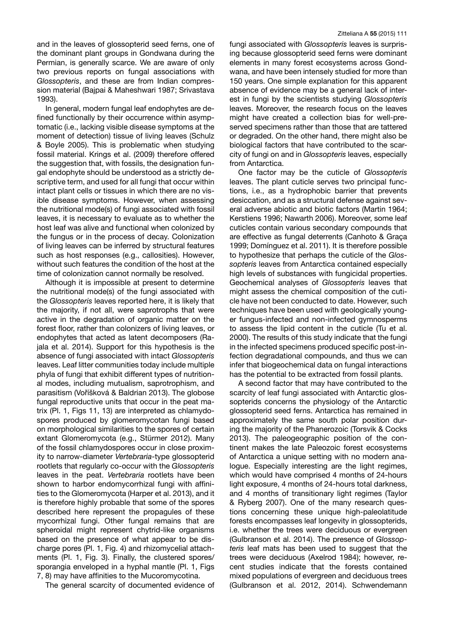In general, modern fungal leaf endophytes are defined functionally by their occurrence within asymptomatic (i.e., lacking visible disease symptoms at the moment of detection) tissue of living leaves (Schulz & Boyle 2005). This is problematic when studying fossil material. Krings et al. (2009) therefore offered the suggestion that, with fossils, the designation fungal endophyte should be understood as a strictly descriptive term, and used for all fungi that occur within intact plant cells or tissues in which there are no visible disease symptoms. However, when assessing the nutritional mode(s) of fungi associated with fossil leaves, it is necessary to evaluate as to whether the host leaf was alive and functional when colonized by the fungus or in the process of decay. Colonization of living leaves can be inferred by structural features such as host responses (e.g., callosities). However, without such features the condition of the host at the time of colonization cannot normally be resolved.

Although it is impossible at present to determine the nutritional mode(s) of the fungi associated with the *Glossopteris* leaves reported here, it is likely that the majority, if not all, were saprotrophs that were active in the degradation of organic matter on the forest floor, rather than colonizers of living leaves, or endophytes that acted as latent decomposers (Rajala et al. 2014). Support for this hypothesis is the absence of fungi associated with intact *Glossopteris*  leaves. Leaf litter communities today include multiple phyla of fungi that exhibit different types of nutritional modes, including mutualism, saprotrophism, and parasitism (Voříšková & Baldrian 2013). The globose fungal reproductive units that occur in the peat matrix (Pl. 1, Figs 11, 13) are interpreted as chlamydospores produced by glomeromycotan fungi based on morphological similarities to the spores of certain extant Glomeromycota (e.g., Stürmer 2012). Many of the fossil chlamydospores occur in close proximity to narrow-diameter *Vertebraria*-type glossopterid rootlets that regularly co-occur with the *Glossopteris* leaves in the peat. *Vertebraria* rootlets have been shown to harbor endomycorrhizal fungi with affinities to the Glomeromycota (Harper et al. 2013), and it is therefore highly probable that some of the spores described here represent the propagules of these mycorrhizal fungi. Other fungal remains that are spheroidal might represent chytrid-like organisms based on the presence of what appear to be discharge pores (Pl. 1, Fig. 4) and rhizomycelial attachments (Pl. 1, Fig. 3). Finally, the clustered spores/ sporangia enveloped in a hyphal mantle (Pl. 1, Figs 7, 8) may have affinities to the Mucoromycotina.

The general scarcity of documented evidence of

fungi associated with *Glossopteris* leaves is surprising because glossopterid seed ferns were dominant elements in many forest ecosystems across Gondwana, and have been intensely studied for more than 150 years. One simple explanation for this apparent absence of evidence may be a general lack of interest in fungi by the scientists studying *Glossopteris* leaves. Moreover, the research focus on the leaves might have created a collection bias for well-preserved specimens rather than those that are tattered or degraded. On the other hand, there might also be biological factors that have contributed to the scarcity of fungi on and in *Glossopteris* leaves, especially from Antarctica.

One factor may be the cuticle of *Glossopteris*  leaves. The plant cuticle serves two principal functions, i.e., as a hydrophobic barrier that prevents desiccation, and as a structural defense against several adverse abiotic and biotic factors (Martin 1964; Kerstiens 1996; Nawarth 2006). Moreover, some leaf cuticles contain various secondary compounds that are effective as fungal deterrents (Canhoto & Graça 1999; Domínguez et al. 2011). It is therefore possible to hypothesize that perhaps the cuticle of the *Glossopteris* leaves from Antarctica contained especially high levels of substances with fungicidal properties. Geochemical analyses of *Glossopteris* leaves that might assess the chemical composition of the cuticle have not been conducted to date. However, such techniques have been used with geologically younger fungus-infected and non-infected gymnosperms to assess the lipid content in the cuticle (Tu et al. 2000). The results of this study indicate that the fungi in the infected specimens produced specific post-infection degradational compounds, and thus we can infer that biogeochemical data on fungal interactions has the potential to be extracted from fossil plants.

A second factor that may have contributed to the scarcity of leaf fungi associated with Antarctic glossopterids concerns the physiology of the Antarctic glossopterid seed ferns. Antarctica has remained in approximately the same south polar position during the majority of the Phanerozoic (Torsvik & Cocks 2013). The paleogeographic position of the continent makes the late Paleozoic forest ecosystems of Antarctica a unique setting with no modern analogue. Especially interesting are the light regimes, which would have comprised 4 months of 24-hours light exposure, 4 months of 24-hours total darkness, and 4 months of transitionary light regimes (Taylor & Ryberg 2007). One of the many research questions concerning these unique high-paleolatitude forests encompasses leaf longevity in glossopterids, i.e. whether the trees were deciduous or evergreen (Gulbranson et al. 2014). The presence of *Glossopteris* leaf mats has been used to suggest that the trees were deciduous (Axelrod 1984); however, recent studies indicate that the forests contained mixed populations of evergreen and deciduous trees (Gulbranson et al. 2012, 2014). Schwendemann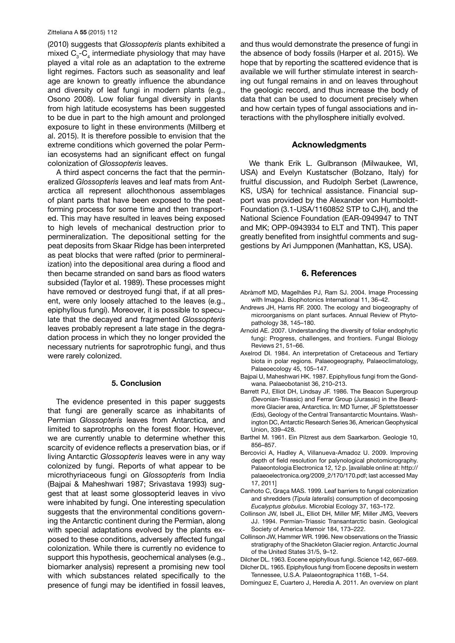### Zitteliana A **55** (2015) 112

(2010) suggests that *Glossopteris* plants exhibited a mixed  $\text{C}_\text{3}$ - $\text{C}_\text{4}$  intermediate physiology that may have played a vital role as an adaptation to the extreme light regimes. Factors such as seasonality and leaf age are known to greatly influence the abundance and diversity of leaf fungi in modern plants (e.g., Osono 2008). Low foliar fungal diversity in plants from high latitude ecosystems has been suggested to be due in part to the high amount and prolonged exposure to light in these environments (Millberg et al. 2015). It is therefore possible to envision that the extreme conditions which governed the polar Permian ecosystems had an significant effect on fungal colonization of *Glossopteris* leaves.

A third aspect concerns the fact that the permineralized *Glossopteris* leaves and leaf mats from Antarctica all represent allochthonous assemblages of plant parts that have been exposed to the peatforming process for some time and then transported. This may have resulted in leaves being exposed to high levels of mechanical destruction prior to permineralization. The depositional setting for the peat deposits from Skaar Ridge has been interpreted as peat blocks that were rafted (prior to permineralization) into the depositional area during a flood and then became stranded on sand bars as flood waters subsided (Taylor et al. 1989). These processes might have removed or destroyed fungi that, if at all present, were only loosely attached to the leaves (e.g., epiphyllous fungi). Moreover, it is possible to speculate that the decayed and fragmented *Glossopteris* leaves probably represent a late stage in the degradation process in which they no longer provided the necessary nutrients for saprotrophic fungi, and thus were rarely colonized.

#### **5. Conclusion**

The evidence presented in this paper suggests that fungi are generally scarce as inhabitants of Permian *Glossopteris* leaves from Antarctica, and limited to saprotrophs on the forest floor. However, we are currently unable to determine whether this scarcity of evidence reflects a preservation bias, or if living Antarctic *Glossopteris* leaves were in any way colonized by fungi. Reports of what appear to be microthyriaceous fungi on *Glossopteris* from India (Bajpai & Maheshwari 1987; Srivastava 1993) suggest that at least some glossopterid leaves in vivo were inhabited by fungi. One interesting speculation suggests that the environmental conditions governing the Antarctic continent during the Permian, along with special adaptations evolved by the plants exposed to these conditions, adversely affected fungal colonization. While there is currently no evidence to support this hypothesis, geochemical analyses (e.g., biomarker analysis) represent a promising new tool with which substances related specifically to the presence of fungi may be identified in fossil leaves,

and thus would demonstrate the presence of fungi in the absence of body fossils (Harper et al. 2015). We hope that by reporting the scattered evidence that is available we will further stimulate interest in searching out fungal remains in and on leaves throughout the geologic record, and thus increase the body of data that can be used to document precisely when and how certain types of fungal associations and interactions with the phyllosphere initially evolved.

## **Acknowledgments**

We thank Erik L. Gulbranson (Milwaukee, WI, USA) and Evelyn Kustatscher (Bolzano, Italy) for fruitful discussion, and Rudolph Serbet (Lawrence, KS, USA) for technical assistance. Financial support was provided by the Alexander von Humboldt-Foundation (3.1-USA/1160852 STP to CJH), and the National Science Foundation (EAR-0949947 to TNT and MK; OPP-0943934 to ELT and TNT). This paper greatly benefited from insightful comments and suggestions by Ari Jumpponen (Manhattan, KS, USA).

## **6. References**

- Abràmoff MD, Magelhães PJ, Ram SJ. 2004. Image Processing with ImageJ. Biophotonics International 11, 36–42.
- Andrews JH, Harris RF. 2000. The ecology and biogeography of microorganisms on plant surfaces. Annual Review of Phytopathology 38, 145–180.
- Arnold AE. 2007. Understanding the diversity of foliar endophytic fungi: Progress, challenges, and frontiers. Fungal Biology Reviews 21, 51–66.
- Axelrod DI. 1984. An interpretation of Cretaceous and Tertiary biota in polar regions. Palaeogeography, Palaeoclimatology, Palaeoecology 45, 105–147.
- Bajpai U, Maheshwari HK. 1987. Epiphyllous fungi from the Gondwana. Palaeobotanist 36, 210–213.
- Barrett PJ, Elliot DH, Lindsay JF. 1986. The Beacon Supergroup (Devonian-Triassic) and Ferrar Group (Jurassic) in the Beardmore Glacier area, Antarctica. In: MD Turner, JF Splettstoesser (Eds), Geology of the Central Transantarctic Mountains. Washington DC, Antarctic Research Series 36, American Geophysical Union, 339–428.
- Barthel M. 1961. Ein Pilzrest aus dem Saarkarbon. Geologie 10, 856–857.
- Bercovici A, Hadley A, Villanueva-Amadoz U. 2009. Improving depth of field resolution for palynological photomicrography. Palaeontologia Electronica 12, 12 p. [available online at: http:// palaeoelectronica.org/2009\_2/170/170.pdf; last accessed May 17, 2011]
- Canhoto C, Graça MAS. 1999. Leaf barriers to fungal colonization and shredders (*Tipula lateralis*) consumption of decomposing *Eucalyptus globulus*. Microbial Ecology 37, 163–172.
- Collinson JW, Isbell JL, Elliot DH, Miller MF, Miller JMG, Veevers JJ. 1994. Permian-Triassic Transantarctic basin. Geological Society of America Memoir 184, 173–222.
- Collinson JW, Hammer WR. 1996. New observations on the Triassic stratigraphy of the Shackleton Glacier region. Antarctic Journal of the United States 31/5, 9–12.
- Dilcher DL. 1963. Eocene epiphyllous fungi. Science 142, 667–669.
- Dilcher DL. 1965. Epiphyllous fungi from Eocene deposits in western Tennessee, U.S.A. Palaeontographica 116B, 1–54.
- Domínguez E, Cuartero J, Heredia A. 2011. An overview on plant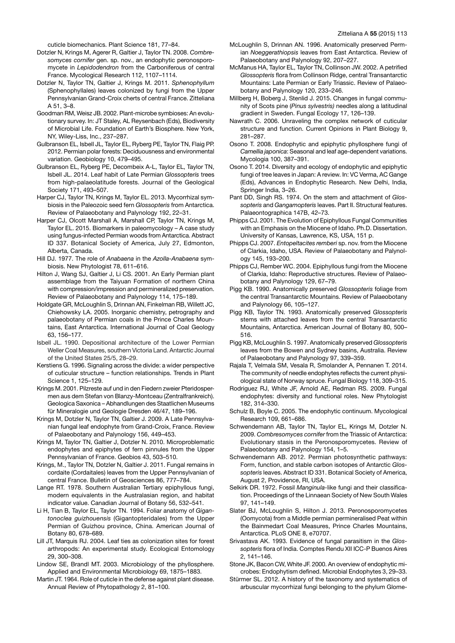cuticle biomechanics. Plant Science 181, 77–84.

- Dotzler N, Krings M, Agerer R, Galtier J, Taylor TN. 2008. *Combresomyces cornifer* gen. sp. nov., an endophytic peronosporomycete in *Lepidodendron* from the Carboniferous of central France. Mycological Research 112, 1107–1114.
- Dotzler N, Taylor TN, Galtier J, Krings M. 2011. *Sphenophyllum* (Sphenophyllales) leaves colonized by fungi from the Upper Pennsylvanian Grand-Croix cherts of central France. Zitteliana A 51, 3–8.
- Goodman RM, Weisz JB. 2002. Plant-microbe symbioses: An evolutionary survey. In: JT Staley, AL Reysenbach (Eds), Biodiversity of Microbial Life. Foundation of Earth's Biosphere. New York, NY, Wiley-Liss, Inc., 237–287.
- Gulbranson EL, Isbell JL, Taylor EL, Ryberg PE, Taylor TN, Flaig PP. 2012. Permian polar forests: Deciduousness and environmental variation. Geobiology 10, 479–495.
- Gulbranson EL, Ryberg PE, Decombeix A-L, Taylor EL, Taylor TN, Isbell JL. 2014. Leaf habit of Late Permian *Glossopteris* trees from high-palaeolatitude forests. Journal of the Geological Society 171, 493–507.
- Harper CJ, Taylor TN, Krings M, Taylor EL. 2013. Mycorrhizal symbiosis in the Paleozoic seed fern *Glossopteris* from Antarctica. Review of Palaeobotany and Palynology 192, 22–31.
- Harper CJ, Olcott Marshall A, Marshall CP, Taylor TN, Krings M, Taylor EL. 2015. Biomarkers in paleomycology – A case study using fungus-infected Permian woods from Antarctica. Abstract ID 337. Botanical Society of America, July 27, Edmonton, Alberta, Canada.
- Hill DJ. 1977. The role of *Anabaena* in the *Azolla-Anabaena* symbiosis. New Phytologist 78, 611–616.
- Hilton J, Wang SJ, Galtier J, Li CS. 2001. An Early Permian plant assemblage from the Taiyuan Formation of northern China with compression/impression and permineralized preservation. Review of Palaeobotany and Palynology 114, 175–189.
- Holdgate GR, McLoughlin S, Drinnan AN, Finkelman RB, Willett JC, Chiehowsky LA. 2005. Inorganic chemistry, petrography and palaeobotany of Permian coals in the Prince Charles Mountains, East Antarctica. International Journal of Coal Geology 63, 156–177.
- Isbell JL. 1990. Depositional architecture of the Lower Permian Weller Coal Measures, southern Victoria Land. Antarctic Journal of the United States 25/5, 28–29.
- Kerstiens G. 1996. Signaling across the divide: a wider perspective of cuticular structure – function relationships. Trends in Plant Science 1, 125–129.
- Krings M. 2001. Pilzreste auf und in den Fiedern zweier Pteridospermen aus dem Stefan von Blanzy-Montceau (Zentralfrankreich). Geologica Saxonica – Abhandlungen des Staatlichen Museums für Mineralogie und Geologie Dresden 46/47, 189–196.
- Krings M, Dotzler N, Taylor TN, Galtier J. 2009. A Late Pennsylvanian fungal leaf endophyte from Grand-Croix, France. Review of Palaeobotany and Palynology 156, 449–453.
- Krings M, Taylor TN, Galtier J, Dotzler N. 2010. Microproblematic endophytes and epiphytes of fern pinnules from the Upper Pennsylvanian of France. Geobios 43, 503–510.
- Krings, M., Taylor TN, Dotzler N, Galtier J. 2011. Fungal remains in cordaite (Cordaitales) leaves from the Upper Pennsylvanian of central France. Bulletin of Geosciences 86, 777–784.
- Lange RT. 1978. Southern Australian Tertiary epiphyllous fungi, modern equivalents in the Australasian region, and habitat indicator value. Canadian Journal of Botany 56, 532–541.
- Li H, Tian B, Taylor EL, Taylor TN. 1994. Foliar anatomy of *Gigantonoclea guizhouensis* (Gigantopteridales) from the Upper Permian of Guizhou province, China. American Journal of Botany 80, 678–689.
- Lill JT, Marquis RJ. 2004. Leaf ties as colonization sites for forest arthropods: An experimental study. Ecological Entomology 29, 300–308.
- Lindow SE, Brandl MT. 2003. Microbiology of the phyllosphere. Applied and Environmental Microbiology 69, 1875–1883.
- Martin JT. 1964. Role of cuticle in the defense against plant disease. Annual Review of Phytopathology 2, 81–100.
- McLoughlin S, Drinnan AN. 1996. Anatomically preserved Permian *Noeggerathiopsis* leaves from East Antarctica. Review of Palaeobotany and Palynology 92, 207–227.
- McManus HA, Taylor EL, Taylor TN, Collinson JW. 2002. A petrified *Glossopteris* flora from Collinson Ridge, central Transantarctic Mountains: Late Permian or Early Triassic. Review of Palaeobotany and Palynology 120, 233–246.
- Millberg H, Boberg J, Stenlid J. 2015. Changes in fungal community of Scots pine (*Pinus sylvestris)* needles along a latitudinal gradient in Sweden. Fungal Ecology 17, 126–139.
- Nawrath C. 2006. Unraveling the complex network of cuticular structure and function. Current Opinions in Plant Biology 9, 281–287.
- Osono T. 2008. Endophytic and epiphytic phyllosphere fungi of *Camellia japonica*: Seasonal and leaf age-dependent variations. Mycologia 100, 387–391.
- Osono T. 2014. Diversity and ecology of endophytic and epiphytic fungi of tree leaves in Japan: A review. In: VC Verma, AC Gange (Eds), Advances in Endophytic Research. New Delhi, India, Springer India, 3–26.
- Pant DD, Singh RS. 1974. On the stem and attachment of *Glossopteris* and *Gangamopteris* leaves. Part II. Structural features. Palaeontographica 147B, 42–73.
- Phipps CJ. 2001. The Evolution of Epiphyllous Fungal Communities with an Emphasis on the Miocene of Idaho. Ph.D. Dissertation. University of Kansas, Lawrence, KS, USA, 151 p.
- Phipps CJ. 2007. *Entopeltacites remberi* sp. nov. from the Miocene of Clarkia, Idaho, USA. Review of Palaeobotany and Palynology 145, 193–200.
- Phipps CJ, Rember WC. 2004. Epiphyllous fungi from the Miocene of Clarkia, Idaho: Reproductive structures. Review of Palaeobotany and Palynology 129, 67–79.
- Pigg KB. 1990. Anatomically preserved *Glossopteris* foliage from the central Transantarctic Mountains. Review of Palaeobotany and Palynology 66, 105–127.
- Pigg KB, Taylor TN. 1993. Anatomically preserved *Glossopteris*  stems with attached leaves from the central Transantarctic Mountains, Antarctica. American Journal of Botany 80, 500– 516.
- Pigg KB, McLoughlin S. 1997. Anatomically preserved *Glossopteris*  leaves from the Bowen and Sydney basins, Australia. Review of Palaeobotany and Palynology 97, 339–359.
- Rajala T, Velmala SM, Vesala R, Smolander A, Pennanen T. 2014. The community of needle endophytes reflects the current physiological state of Norway spruce. Fungal Biology 118, 309–315.
- Rodriguez RJ, White JF, Arnold AE, Redman RS. 2009. Fungal endophytes: diversity and functional roles. New Phytologist 182, 314–330.
- Schulz B, Boyle C. 2005. The endophytic continuum. Mycological Research 109, 661–686.
- Schwendemann AB, Taylor TN, Taylor EL, Krings M, Dotzler N. 2009. *Combresomyces cornifer* from the Triassic of Antarctica: Evolutionary stasis in the Peronosporomycetes. Review of Palaeobotany and Palynology 154, 1–5.
- Schwendemann AB. 2012. Permian photosynthetic pathways: Form, function, and stable carbon isotopes of Antarctic *Glossopteris* leaves. Abstract ID 331. Botanical Society of America, August 2, Providence, RI, USA.
- Selkirk DR. 1972. Fossil *Manginula*-like fungi and their classification. Proceedings of the Linnaean Society of New South Wales 97, 141–149.
- Slater BJ, McLoughlin S, Hilton J. 2013. Peronosporomycetes (Oomycota) from a Middle permian permineralised Peat within the Bainmedart Coal Measures, Prince Charles Mountains, Antarctica. PLoS ONE 8, e70707.
- Srivastava AK. 1993. Evidence of fungal parasitism in the *Glossopteris* flora of India. Comptes Rendu XII ICC-P Buenos Aires 2, 141–146.
- Stone JK, Bacon CW, White JF. 2000. An overview of endophytic microbes: Endophytism defined. Microbial Endophytes 3, 29–33.
- Stürmer SL. 2012. A history of the taxonomy and systematics of arbuscular mycorrhizal fungi belonging to the phylum Glome-